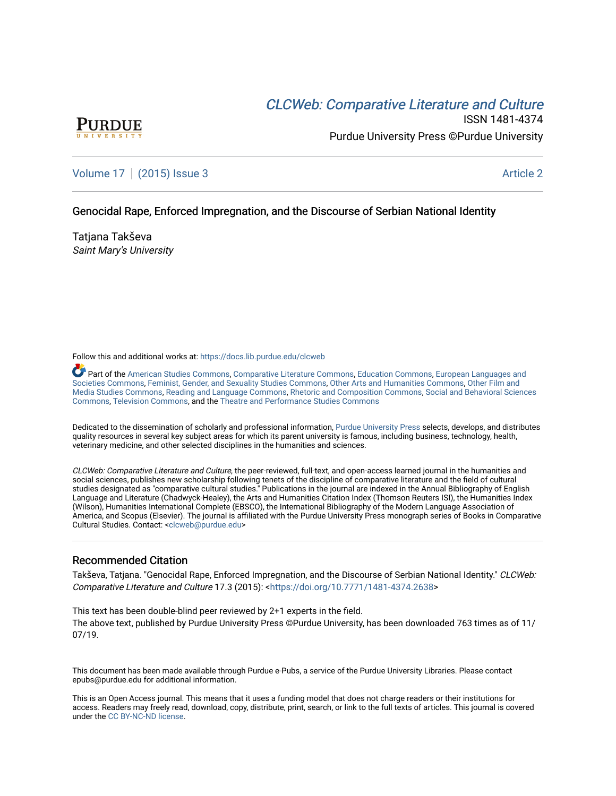# **CLCW[eb: Comparative Liter](https://docs.lib.purdue.edu/clcweb)ature and Culture**



ISSN 1481-4374 Purdue University Press ©Purdue University

# [Volume 17](https://docs.lib.purdue.edu/clcweb/vol17) | [\(2015\) Issue 3](https://docs.lib.purdue.edu/clcweb/vol17/iss3) Article 2

## Genocidal Rape, Enforced Impregnation, and the Discourse of Serbian National Identity

Tatjana Takševa Saint Mary's University

Follow this and additional works at: [https://docs.lib.purdue.edu/clcweb](https://docs.lib.purdue.edu/clcweb?utm_source=docs.lib.purdue.edu%2Fclcweb%2Fvol17%2Fiss3%2F2&utm_medium=PDF&utm_campaign=PDFCoverPages)

Part of the [American Studies Commons](http://network.bepress.com/hgg/discipline/439?utm_source=docs.lib.purdue.edu%2Fclcweb%2Fvol17%2Fiss3%2F2&utm_medium=PDF&utm_campaign=PDFCoverPages), [Comparative Literature Commons,](http://network.bepress.com/hgg/discipline/454?utm_source=docs.lib.purdue.edu%2Fclcweb%2Fvol17%2Fiss3%2F2&utm_medium=PDF&utm_campaign=PDFCoverPages) [Education Commons,](http://network.bepress.com/hgg/discipline/784?utm_source=docs.lib.purdue.edu%2Fclcweb%2Fvol17%2Fiss3%2F2&utm_medium=PDF&utm_campaign=PDFCoverPages) [European Languages and](http://network.bepress.com/hgg/discipline/482?utm_source=docs.lib.purdue.edu%2Fclcweb%2Fvol17%2Fiss3%2F2&utm_medium=PDF&utm_campaign=PDFCoverPages) [Societies Commons](http://network.bepress.com/hgg/discipline/482?utm_source=docs.lib.purdue.edu%2Fclcweb%2Fvol17%2Fiss3%2F2&utm_medium=PDF&utm_campaign=PDFCoverPages), [Feminist, Gender, and Sexuality Studies Commons,](http://network.bepress.com/hgg/discipline/559?utm_source=docs.lib.purdue.edu%2Fclcweb%2Fvol17%2Fiss3%2F2&utm_medium=PDF&utm_campaign=PDFCoverPages) [Other Arts and Humanities Commons](http://network.bepress.com/hgg/discipline/577?utm_source=docs.lib.purdue.edu%2Fclcweb%2Fvol17%2Fiss3%2F2&utm_medium=PDF&utm_campaign=PDFCoverPages), [Other Film and](http://network.bepress.com/hgg/discipline/565?utm_source=docs.lib.purdue.edu%2Fclcweb%2Fvol17%2Fiss3%2F2&utm_medium=PDF&utm_campaign=PDFCoverPages)  [Media Studies Commons](http://network.bepress.com/hgg/discipline/565?utm_source=docs.lib.purdue.edu%2Fclcweb%2Fvol17%2Fiss3%2F2&utm_medium=PDF&utm_campaign=PDFCoverPages), [Reading and Language Commons](http://network.bepress.com/hgg/discipline/1037?utm_source=docs.lib.purdue.edu%2Fclcweb%2Fvol17%2Fiss3%2F2&utm_medium=PDF&utm_campaign=PDFCoverPages), [Rhetoric and Composition Commons,](http://network.bepress.com/hgg/discipline/573?utm_source=docs.lib.purdue.edu%2Fclcweb%2Fvol17%2Fiss3%2F2&utm_medium=PDF&utm_campaign=PDFCoverPages) [Social and Behavioral Sciences](http://network.bepress.com/hgg/discipline/316?utm_source=docs.lib.purdue.edu%2Fclcweb%2Fvol17%2Fiss3%2F2&utm_medium=PDF&utm_campaign=PDFCoverPages) [Commons,](http://network.bepress.com/hgg/discipline/316?utm_source=docs.lib.purdue.edu%2Fclcweb%2Fvol17%2Fiss3%2F2&utm_medium=PDF&utm_campaign=PDFCoverPages) [Television Commons,](http://network.bepress.com/hgg/discipline/1143?utm_source=docs.lib.purdue.edu%2Fclcweb%2Fvol17%2Fiss3%2F2&utm_medium=PDF&utm_campaign=PDFCoverPages) and the [Theatre and Performance Studies Commons](http://network.bepress.com/hgg/discipline/552?utm_source=docs.lib.purdue.edu%2Fclcweb%2Fvol17%2Fiss3%2F2&utm_medium=PDF&utm_campaign=PDFCoverPages)

Dedicated to the dissemination of scholarly and professional information, [Purdue University Press](http://www.thepress.purdue.edu/) selects, develops, and distributes quality resources in several key subject areas for which its parent university is famous, including business, technology, health, veterinary medicine, and other selected disciplines in the humanities and sciences.

CLCWeb: Comparative Literature and Culture, the peer-reviewed, full-text, and open-access learned journal in the humanities and social sciences, publishes new scholarship following tenets of the discipline of comparative literature and the field of cultural studies designated as "comparative cultural studies." Publications in the journal are indexed in the Annual Bibliography of English Language and Literature (Chadwyck-Healey), the Arts and Humanities Citation Index (Thomson Reuters ISI), the Humanities Index (Wilson), Humanities International Complete (EBSCO), the International Bibliography of the Modern Language Association of America, and Scopus (Elsevier). The journal is affiliated with the Purdue University Press monograph series of Books in Comparative Cultural Studies. Contact: [<clcweb@purdue.edu](mailto:clcweb@purdue.edu)>

#### Recommended Citation

Takševa, Tatjana. "Genocidal Rape, Enforced Impregnation, and the Discourse of Serbian National Identity." CLCWeb: Comparative Literature and Culture 17.3 (2015): <<https://doi.org/10.7771/1481-4374.2638>>

This text has been double-blind peer reviewed by 2+1 experts in the field. The above text, published by Purdue University Press ©Purdue University, has been downloaded 763 times as of 11/ 07/19.

This document has been made available through Purdue e-Pubs, a service of the Purdue University Libraries. Please contact epubs@purdue.edu for additional information.

This is an Open Access journal. This means that it uses a funding model that does not charge readers or their institutions for access. Readers may freely read, download, copy, distribute, print, search, or link to the full texts of articles. This journal is covered under the [CC BY-NC-ND license.](https://creativecommons.org/licenses/by-nc-nd/4.0/)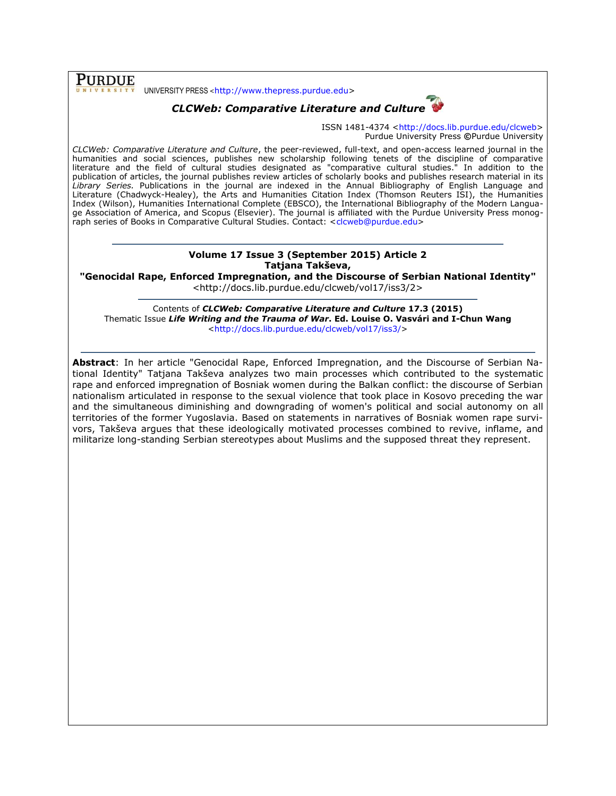UNIVERSITY PRESS <[http://www.thepress.purdue.edu>](http://www.thepress.purdue.edu/)

**PURDUE** 



ISSN 1481-4374 [<http://docs.lib.purdue.edu/clcweb>](http://docs.lib.purdue.edu/clcweb) Purdue University Press **©**Purdue University

*CLCWeb: Comparative Literature and Culture*, the peer-reviewed, full-text, and open-access learned journal in the humanities and social sciences, publishes new scholarship following tenets of the discipline of comparative literature and the field of cultural studies designated as "comparative cultural studies." In addition to the publication of articles, the journal publishes review articles of scholarly books and publishes research material in its *Library Series.* Publications in the journal are indexed in the Annual Bibliography of English Language and Literature (Chadwyck-Healey), the Arts and Humanities Citation Index (Thomson Reuters ISI), the Humanities Index (Wilson), Humanities International Complete (EBSCO), the International Bibliography of the Modern Language Association of America, and Scopus (Elsevier). The journal is affiliated with the Purdue University Press monog-raph series of Books in Comparative Cultural Studies. Contact: [<clcweb@purdue.edu>](mailto:clcweb@purdue.edu)

## **Volume 17 Issue 3 (September 2015) Article 2 Tatjana Takševa,**

**"Genocidal Rape, Enforced Impregnation, and the Discourse of Serbian National Identity"** <http://docs.lib.purdue.edu/clcweb/vol17/iss3/2>

Contents of *CLCWeb: Comparative Literature and Culture* **17.3 (2015)** Thematic Issue *Life Writing and the Trauma of War***. Ed. Louise O. Vasvári and I-Chun Wang** [<http://docs.lib.purdue.edu/clcweb/vol17/iss3/>](http://docs.lib.purdue.edu/clcweb/vol17/iss3/)

**Abstract**: In her article "Genocidal Rape, Enforced Impregnation, and the Discourse of Serbian National Identity" Tatjana Takševa analyzes two main processes which contributed to the systematic rape and enforced impregnation of Bosniak women during the Balkan conflict: the discourse of Serbian nationalism articulated in response to the sexual violence that took place in Kosovo preceding the war and the simultaneous diminishing and downgrading of women's political and social autonomy on all territories of the former Yugoslavia. Based on statements in narratives of Bosniak women rape survivors, Takševa argues that these ideologically motivated processes combined to revive, inflame, and militarize long-standing Serbian stereotypes about Muslims and the supposed threat they represent.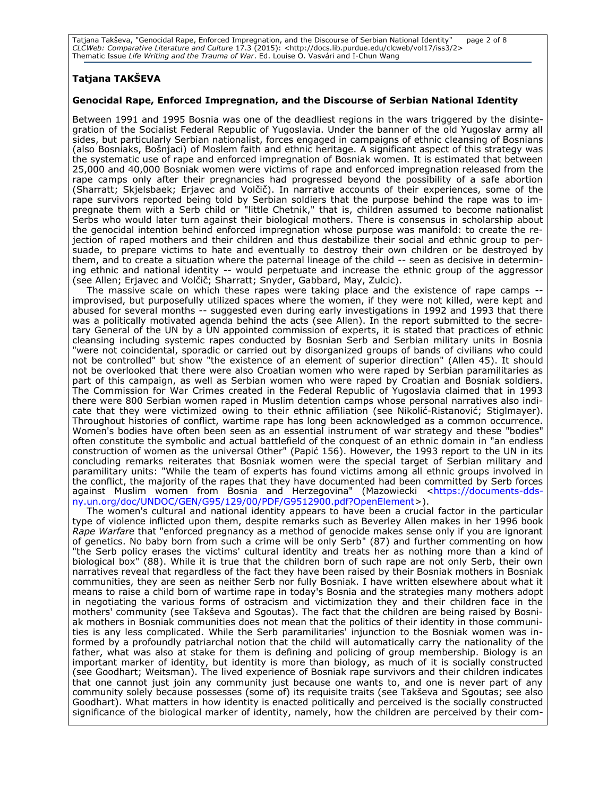Tatjana Takševa, "Genocidal Rape, Enforced Impregnation, and the Discourse of Serbian National Identity" page 2 of 8 *CLCWeb: Comparative Literature and Culture* 17.3 (2015): <http://docs.lib.purdue.edu/clcweb/vol17/iss3/2> Thematic Issue *Life Writing and the Trauma of War*. Ed. Louise O. Vasvári and I-Chun Wang

## **Tatjana TAKŠEVA**

#### **Genocidal Rape, Enforced Impregnation, and the Discourse of Serbian National Identity**

Between 1991 and 1995 Bosnia was one of the deadliest regions in the wars triggered by the disintegration of the Socialist Federal Republic of Yugoslavia. Under the banner of the old Yugoslav army all sides, but particularly Serbian nationalist, forces engaged in campaigns of ethnic cleansing of Bosnians (also Bosniaks, Bošnjaci) of Moslem faith and ethnic heritage. A significant aspect of this strategy was the systematic use of rape and enforced impregnation of Bosniak women. It is estimated that between 25,000 and 40,000 Bosniak women were victims of rape and enforced impregnation released from the rape camps only after their pregnancies had progressed beyond the possibility of a safe abortion (Sharratt; Skjelsbaek; Erjavec and Volčič). In narrative accounts of their experiences, some of the rape survivors reported being told by Serbian soldiers that the purpose behind the rape was to impregnate them with a Serb child or "little Chetnik," that is, children assumed to become nationalist Serbs who would later turn against their biological mothers. There is consensus in scholarship about the genocidal intention behind enforced impregnation whose purpose was manifold: to create the rejection of raped mothers and their children and thus destabilize their social and ethnic group to persuade, to prepare victims to hate and eventually to destroy their own children or be destroyed by them, and to create a situation where the paternal lineage of the child -- seen as decisive in determining ethnic and national identity -- would perpetuate and increase the ethnic group of the aggressor (see Allen; Erjavec and Volčič; Sharratt; Snyder, Gabbard, May, Zulcic).

The massive scale on which these rapes were taking place and the existence of rape camps improvised, but purposefully utilized spaces where the women, if they were not killed, were kept and abused for several months -- suggested even during early investigations in 1992 and 1993 that there was a politically motivated agenda behind the acts (see Allen). In the report submitted to the secretary General of the UN by a UN appointed commission of experts, it is stated that practices of ethnic cleansing including systemic rapes conducted by Bosnian Serb and Serbian military units in Bosnia "were not coincidental, sporadic or carried out by disorganized groups of bands of civilians who could not be controlled" but show "the existence of an element of superior direction" (Allen 45). It should not be overlooked that there were also Croatian women who were raped by Serbian paramilitaries as part of this campaign, as well as Serbian women who were raped by Croatian and Bosniak soldiers. The Commission for War Crimes created in the Federal Republic of Yugoslavia claimed that in 1993 there were 800 Serbian women raped in Muslim detention camps whose personal narratives also indicate that they were victimized owing to their ethnic affiliation (see Nikolić-Ristanović; Stiglmayer). Throughout histories of conflict, wartime rape has long been acknowledged as a common occurrence. Women's bodies have often been seen as an essential instrument of war strategy and these "bodies" often constitute the symbolic and actual battlefield of the conquest of an ethnic domain in "an endless construction of women as the universal Other" (Papić 156). However, the 1993 report to the UN in its concluding remarks reiterates that Bosniak women were the special target of Serbian military and paramilitary units: "While the team of experts has found victims among all ethnic groups involved in the conflict, the majority of the rapes that they have documented had been committed by Serb forces against Muslim women from Bosnia and Herzegovina" (Mazowiecki [<https://documents-dds](https://documents-dds-ny.un.org/doc/UNDOC/GEN/G95/129/00/PDF/G9512900.pdf?OpenElement)[ny.un.org/doc/UNDOC/GEN/G95/129/00/PDF/G9512900.pdf?OpenElement>](https://documents-dds-ny.un.org/doc/UNDOC/GEN/G95/129/00/PDF/G9512900.pdf?OpenElement)).

The women's cultural and national identity appears to have been a crucial factor in the particular type of violence inflicted upon them, despite remarks such as Beverley Allen makes in her 1996 book *Rape Warfare* that "enforced pregnancy as a method of genocide makes sense only if you are ignorant of genetics. No baby born from such a crime will be only Serb" (87) and further commenting on how "the Serb policy erases the victims' cultural identity and treats her as nothing more than a kind of biological box" (88). While it is true that the children born of such rape are not only Serb, their own narratives reveal that regardless of the fact they have been raised by their Bosniak mothers in Bosniak communities, they are seen as neither Serb nor fully Bosniak. I have written elsewhere about what it means to raise a child born of wartime rape in today's Bosnia and the strategies many mothers adopt in negotiating the various forms of ostracism and victimization they and their children face in the mothers' community (see Takševa and Sgoutas). The fact that the children are being raised by Bosniak mothers in Bosniak communities does not mean that the politics of their identity in those communities is any less complicated. While the Serb paramilitaries' injunction to the Bosniak women was informed by a profoundly patriarchal notion that the child will automatically carry the nationality of the father, what was also at stake for them is defining and policing of group membership. Biology is an important marker of identity, but identity is more than biology, as much of it is socially constructed (see Goodhart; Weitsman). The lived experience of Bosniak rape survivors and their children indicates that one cannot just join any community just because one wants to, and one is never part of any community solely because possesses (some of) its requisite traits (see Takševa and Sgoutas; see also Goodhart). What matters in how identity is enacted politically and perceived is the socially constructed significance of the biological marker of identity, namely, how the children are perceived by their com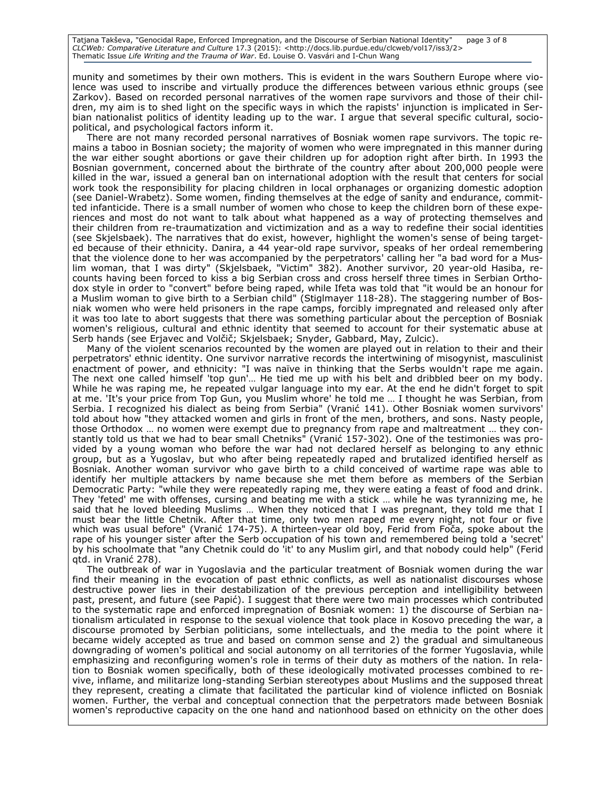Tatjana Takševa, "Genocidal Rape, Enforced Impregnation, and the Discourse of Serbian National Identity" page 3 of 8 *CLCWeb: Comparative Literature and Culture* 17.3 (2015): <http://docs.lib.purdue.edu/clcweb/vol17/iss3/2> Thematic Issue *Life Writing and the Trauma of War*. Ed. Louise O. Vasvári and I-Chun Wang

munity and sometimes by their own mothers. This is evident in the wars Southern Europe where violence was used to inscribe and virtually produce the differences between various ethnic groups (see Zarkov). Based on recorded personal narratives of the women rape survivors and those of their children, my aim is to shed light on the specific ways in which the rapists' injunction is implicated in Serbian nationalist politics of identity leading up to the war. I argue that several specific cultural, sociopolitical, and psychological factors inform it.

There are not many recorded personal narratives of Bosniak women rape survivors. The topic remains a taboo in Bosnian society; the majority of women who were impregnated in this manner during the war either sought abortions or gave their children up for adoption right after birth. In 1993 the Bosnian government, concerned about the birthrate of the country after about 200,000 people were killed in the war, issued a general ban on international adoption with the result that centers for social work took the responsibility for placing children in local orphanages or organizing domestic adoption (see Daniel-Wrabetz). Some women, finding themselves at the edge of sanity and endurance, committed infanticide. There is a small number of women who chose to keep the children born of these experiences and most do not want to talk about what happened as a way of protecting themselves and their children from re-traumatization and victimization and as a way to redefine their social identities (see Skjelsbaek). The narratives that do exist, however, highlight the women's sense of being targeted because of their ethnicity. Danira, a 44 year-old rape survivor, speaks of her ordeal remembering that the violence done to her was accompanied by the perpetrators' calling her "a bad word for a Muslim woman, that I was dirty" (Skjelsbaek, "Victim" 382). Another survivor, 20 year-old Hasiba, recounts having been forced to kiss a big Serbian cross and cross herself three times in Serbian Orthodox style in order to "convert" before being raped, while Ifeta was told that "it would be an honour for a Muslim woman to give birth to a Serbian child" (Stiglmayer 118-28). The staggering number of Bosniak women who were held prisoners in the rape camps, forcibly impregnated and released only after it was too late to abort suggests that there was something particular about the perception of Bosniak women's religious, cultural and ethnic identity that seemed to account for their systematic abuse at Serb hands (see Erjavec and Volčič; Skjelsbaek; Snyder, Gabbard, May, Zulcic).

Many of the violent scenarios recounted by the women are played out in relation to their and their perpetrators' ethnic identity. One survivor narrative records the intertwining of misogynist, masculinist enactment of power, and ethnicity: "I was naïve in thinking that the Serbs wouldn't rape me again. The next one called himself 'top gun'… He tied me up with his belt and dribbled beer on my body. While he was raping me, he repeated vulgar language into my ear. At the end he didn't forget to spit at me. 'It's your price from Top Gun, you Muslim whore' he told me … I thought he was Serbian, from Serbia. I recognized his dialect as being from Serbia" (Vranić 141). Other Bosniak women survivors' told about how "they attacked women and girls in front of the men, brothers, and sons. Nasty people, those Orthodox … no women were exempt due to pregnancy from rape and maltreatment … they constantly told us that we had to bear small Chetniks" (Vranić 157-302). One of the testimonies was provided by a young woman who before the war had not declared herself as belonging to any ethnic group, but as a Yugoslav, but who after being repeatedly raped and brutalized identified herself as Bosniak. Another woman survivor who gave birth to a child conceived of wartime rape was able to identify her multiple attackers by name because she met them before as members of the Serbian Democratic Party: "while they were repeatedly raping me, they were eating a feast of food and drink. They 'feted' me with offenses, cursing and beating me with a stick … while he was tyrannizing me, he said that he loved bleeding Muslims … When they noticed that I was pregnant, they told me that I must bear the little Chetnik. After that time, only two men raped me every night, not four or five which was usual before" (Vranić 174-75). A thirteen-year old boy, Ferid from Foča, spoke about the rape of his younger sister after the Serb occupation of his town and remembered being told a 'secret' by his schoolmate that "any Chetnik could do 'it' to any Muslim girl, and that nobody could help" (Ferid qtd. in Vranić 278).

The outbreak of war in Yugoslavia and the particular treatment of Bosniak women during the war find their meaning in the evocation of past ethnic conflicts, as well as nationalist discourses whose destructive power lies in their destabilization of the previous perception and intelligibility between past, present, and future (see Papić). I suggest that there were two main processes which contributed to the systematic rape and enforced impregnation of Bosniak women: 1) the discourse of Serbian nationalism articulated in response to the sexual violence that took place in Kosovo preceding the war, a discourse promoted by Serbian politicians, some intellectuals, and the media to the point where it became widely accepted as true and based on common sense and 2) the gradual and simultaneous downgrading of women's political and social autonomy on all territories of the former Yugoslavia, while emphasizing and reconfiguring women's role in terms of their duty as mothers of the nation. In relation to Bosniak women specifically, both of these ideologically motivated processes combined to revive, inflame, and militarize long-standing Serbian stereotypes about Muslims and the supposed threat they represent, creating a climate that facilitated the particular kind of violence inflicted on Bosniak women. Further, the verbal and conceptual connection that the perpetrators made between Bosniak women's reproductive capacity on the one hand and nationhood based on ethnicity on the other does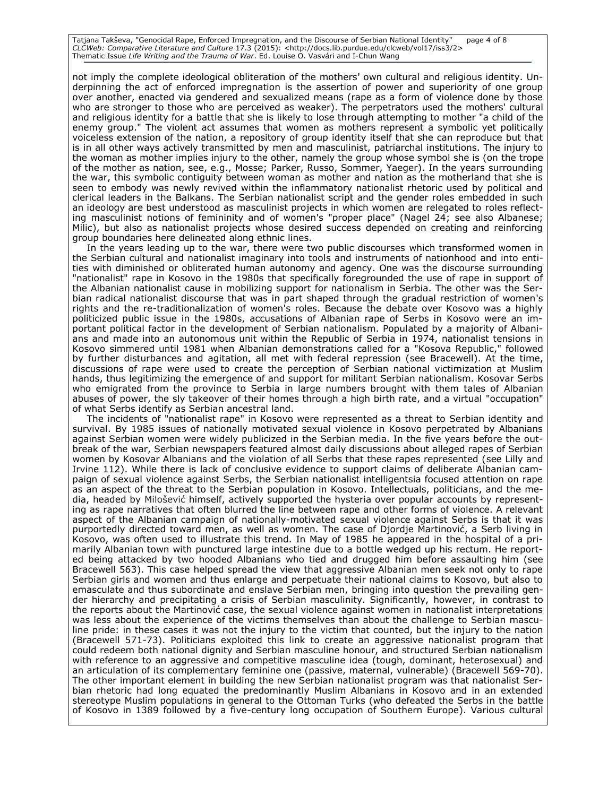Tatjana Takševa, "Genocidal Rape, Enforced Impregnation, and the Discourse of Serbian National Identity" page 4 of 8 *CLCWeb: Comparative Literature and Culture* 17.3 (2015): <http://docs.lib.purdue.edu/clcweb/vol17/iss3/2> Thematic Issue *Life Writing and the Trauma of War*. Ed. Louise O. Vasvári and I-Chun Wang

not imply the complete ideological obliteration of the mothers' own cultural and religious identity. Underpinning the act of enforced impregnation is the assertion of power and superiority of one group over another, enacted via gendered and sexualized means (rape as a form of violence done by those who are stronger to those who are perceived as weaker). The perpetrators used the mothers' cultural and religious identity for a battle that she is likely to lose through attempting to mother "a child of the enemy group." The violent act assumes that women as mothers represent a symbolic yet politically voiceless extension of the nation, a repository of group identity itself that she can reproduce but that is in all other ways actively transmitted by men and masculinist, patriarchal institutions. The injury to the woman as mother implies injury to the other, namely the group whose symbol she is (on the trope of the mother as nation, see, e.g., Mosse; Parker, Russo, Sommer, Yaeger). In the years surrounding the war, this symbolic contiguity between woman as mother and nation as the motherland that she is seen to embody was newly revived within the inflammatory nationalist rhetoric used by political and clerical leaders in the Balkans. The Serbian nationalist script and the gender roles embedded in such an ideology are best understood as masculinist projects in which women are relegated to roles reflecting masculinist notions of femininity and of women's "proper place" (Nagel 24; see also Albanese; Milic), but also as nationalist projects whose desired success depended on creating and reinforcing group boundaries here delineated along ethnic lines.

In the years leading up to the war, there were two public discourses which transformed women in the Serbian cultural and nationalist imaginary into tools and instruments of nationhood and into entities with diminished or obliterated human autonomy and agency. One was the discourse surrounding "nationalist" rape in Kosovo in the 1980s that specifically foregrounded the use of rape in support of the Albanian nationalist cause in mobilizing support for nationalism in Serbia. The other was the Serbian radical nationalist discourse that was in part shaped through the gradual restriction of women's rights and the re-traditionalization of women's roles. Because the debate over Kosovo was a highly politicized public issue in the 1980s, accusations of Albanian rape of Serbs in Kosovo were an important political factor in the development of Serbian nationalism. Populated by a majority of Albanians and made into an autonomous unit within the Republic of Serbia in 1974, nationalist tensions in Kosovo simmered until 1981 when Albanian demonstrations called for a "Kosova Republic," followed by further disturbances and agitation, all met with federal repression (see Bracewell). At the time, discussions of rape were used to create the perception of Serbian national victimization at Muslim hands, thus legitimizing the emergence of and support for militant Serbian nationalism. Kosovar Serbs who emigrated from the province to Serbia in large numbers brought with them tales of Albanian abuses of power, the sly takeover of their homes through a high birth rate, and a virtual "occupation" of what Serbs identify as Serbian ancestral land.

The incidents of "nationalist rape" in Kosovo were represented as a threat to Serbian identity and survival. By 1985 issues of nationally motivated sexual violence in Kosovo perpetrated by Albanians against Serbian women were widely publicized in the Serbian media. In the five years before the outbreak of the war, Serbian newspapers featured almost daily discussions about alleged rapes of Serbian women by Kosovar Albanians and the violation of all Serbs that these rapes represented (see Lilly and Irvine 112). While there is lack of conclusive evidence to support claims of deliberate Albanian campaign of sexual violence against Serbs, the Serbian nationalist intelligentsia focused attention on rape as an aspect of the threat to the Serbian population in Kosovo. Intellectuals, politicians, and the media, headed by Milošević himself, actively supported the hysteria over popular accounts by representing as rape narratives that often blurred the line between rape and other forms of violence. A relevant aspect of the Albanian campaign of nationally-motivated sexual violence against Serbs is that it was purportedly directed toward men, as well as women. The case of Djordje Martinović, a Serb living in Kosovo, was often used to illustrate this trend. In May of 1985 he appeared in the hospital of a primarily Albanian town with punctured large intestine due to a bottle wedged up his rectum. He reported being attacked by two hooded Albanians who tied and drugged him before assaulting him (see Bracewell 563). This case helped spread the view that aggressive Albanian men seek not only to rape Serbian girls and women and thus enlarge and perpetuate their national claims to Kosovo, but also to emasculate and thus subordinate and enslave Serbian men, bringing into question the prevailing gender hierarchy and precipitating a crisis of Serbian masculinity. Significantly, however, in contrast to the reports about the Martinović case, the sexual violence against women in nationalist interpretations was less about the experience of the victims themselves than about the challenge to Serbian masculine pride: in these cases it was not the injury to the victim that counted, but the injury to the nation (Bracewell 571-73). Politicians exploited this link to create an aggressive nationalist program that could redeem both national dignity and Serbian masculine honour, and structured Serbian nationalism with reference to an aggressive and competitive masculine idea (tough, dominant, heterosexual) and an articulation of its complementary feminine one (passive, maternal, vulnerable) (Bracewell 569-70). The other important element in building the new Serbian nationalist program was that nationalist Serbian rhetoric had long equated the predominantly Muslim Albanians in Kosovo and in an extended stereotype Muslim populations in general to the Ottoman Turks (who defeated the Serbs in the battle of Kosovo in 1389 followed by a five-century long occupation of Southern Europe). Various cultural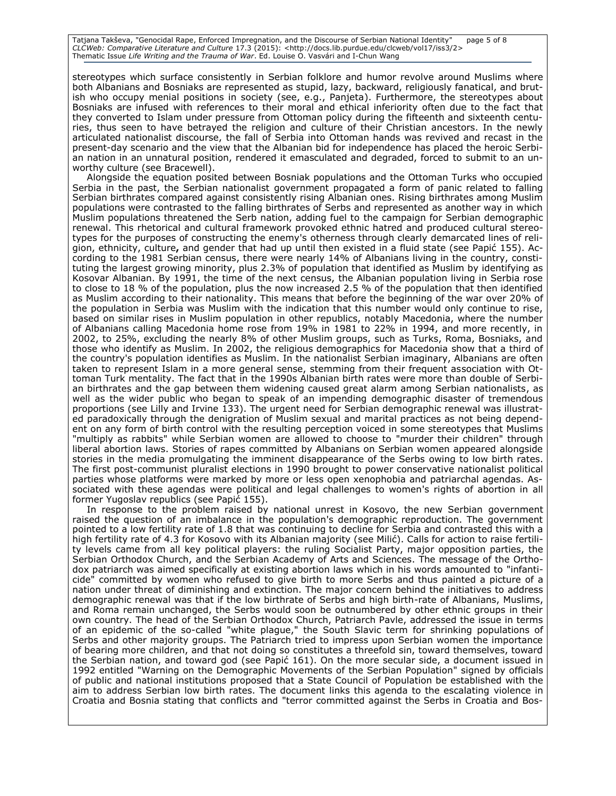Tatjana Takševa, "Genocidal Rape, Enforced Impregnation, and the Discourse of Serbian National Identity" page 5 of 8 *CLCWeb: Comparative Literature and Culture* 17.3 (2015): <http://docs.lib.purdue.edu/clcweb/vol17/iss3/2> Thematic Issue *Life Writing and the Trauma of War*. Ed. Louise O. Vasvári and I-Chun Wang

stereotypes which surface consistently in Serbian folklore and humor revolve around Muslims where both Albanians and Bosniaks are represented as stupid, lazy, backward, religiously fanatical, and brutish who occupy menial positions in society (see, e.g., Panjeta). Furthermore, the stereotypes about Bosniaks are infused with references to their moral and ethical inferiority often due to the fact that they converted to Islam under pressure from Ottoman policy during the fifteenth and sixteenth centuries, thus seen to have betrayed the religion and culture of their Christian ancestors. In the newly articulated nationalist discourse, the fall of Serbia into Ottoman hands was revived and recast in the present-day scenario and the view that the Albanian bid for independence has placed the heroic Serbian nation in an unnatural position, rendered it emasculated and degraded, forced to submit to an unworthy culture (see Bracewell).

Alongside the equation posited between Bosniak populations and the Ottoman Turks who occupied Serbia in the past, the Serbian nationalist government propagated a form of panic related to falling Serbian birthrates compared against consistently rising Albanian ones. Rising birthrates among Muslim populations were contrasted to the falling birthrates of Serbs and represented as another way in which Muslim populations threatened the Serb nation, adding fuel to the campaign for Serbian demographic renewal. This rhetorical and cultural framework provoked ethnic hatred and produced cultural stereotypes for the purposes of constructing the enemy's otherness through clearly demarcated lines of religion, ethnicity, culture**,** and gender that had up until then existed in a fluid state (see Papić 155). According to the 1981 Serbian census, there were nearly 14% of Albanians living in the country, constituting the largest growing minority, plus 2.3% of population that identified as Muslim by identifying as Kosovar Albanian. By 1991, the time of the next census, the Albanian population living in Serbia rose to close to 18 % of the population, plus the now increased 2.5 % of the population that then identified as Muslim according to their nationality. This means that before the beginning of the war over 20% of the population in Serbia was Muslim with the indication that this number would only continue to rise, based on similar rises in Muslim population in other republics, notably Macedonia, where the number of Albanians calling Macedonia home rose from 19% in 1981 to 22% in 1994, and more recently, in 2002, to 25%, excluding the nearly 8% of other Muslim groups, such as Turks, Roma, Bosniaks, and those who identify as Muslim. In 2002, the religious demographics for Macedonia show that a third of the country's population identifies as Muslim. In the nationalist Serbian imaginary, Albanians are often taken to represent Islam in a more general sense, stemming from their frequent association with Ottoman Turk mentality. The fact that in the 1990s Albanian birth rates were more than double of Serbian birthrates and the gap between them widening caused great alarm among Serbian nationalists, as well as the wider public who began to speak of an impending demographic disaster of tremendous proportions (see Lilly and Irvine 133). The urgent need for Serbian demographic renewal was illustrated paradoxically through the denigration of Muslim sexual and marital practices as not being dependent on any form of birth control with the resulting perception voiced in some stereotypes that Muslims "multiply as rabbits" while Serbian women are allowed to choose to "murder their children" through liberal abortion laws. Stories of rapes committed by Albanians on Serbian women appeared alongside stories in the media promulgating the imminent disappearance of the Serbs owing to low birth rates. The first post-communist pluralist elections in 1990 brought to power conservative nationalist political parties whose platforms were marked by more or less open xenophobia and patriarchal agendas. Associated with these agendas were political and legal challenges to women's rights of abortion in all former Yugoslav republics (see Papić 155).

In response to the problem raised by national unrest in Kosovo, the new Serbian government raised the question of an imbalance in the population's demographic reproduction. The government pointed to a low fertility rate of 1.8 that was continuing to decline for Serbia and contrasted this with a high fertility rate of 4.3 for Kosovo with its Albanian majority (see Milić). Calls for action to raise fertility levels came from all key political players: the ruling Socialist Party, major opposition parties, the Serbian Orthodox Church, and the Serbian Academy of Arts and Sciences. The message of the Orthodox patriarch was aimed specifically at existing abortion laws which in his words amounted to "infanticide" committed by women who refused to give birth to more Serbs and thus painted a picture of a nation under threat of diminishing and extinction. The major concern behind the initiatives to address demographic renewal was that if the low birthrate of Serbs and high birth-rate of Albanians, Muslims, and Roma remain unchanged, the Serbs would soon be outnumbered by other ethnic groups in their own country. The head of the Serbian Orthodox Church, Patriarch Pavle, addressed the issue in terms of an epidemic of the so-called "white plague," the South Slavic term for shrinking populations of Serbs and other majority groups. The Patriarch tried to impress upon Serbian women the importance of bearing more children, and that not doing so constitutes a threefold sin, toward themselves, toward the Serbian nation, and toward god (see Papić 161). On the more secular side, a document issued in 1992 entitled "Warning on the Demographic Movements of the Serbian Population" signed by officials of public and national institutions proposed that a State Council of Population be established with the aim to address Serbian low birth rates. The document links this agenda to the escalating violence in Croatia and Bosnia stating that conflicts and "terror committed against the Serbs in Croatia and Bos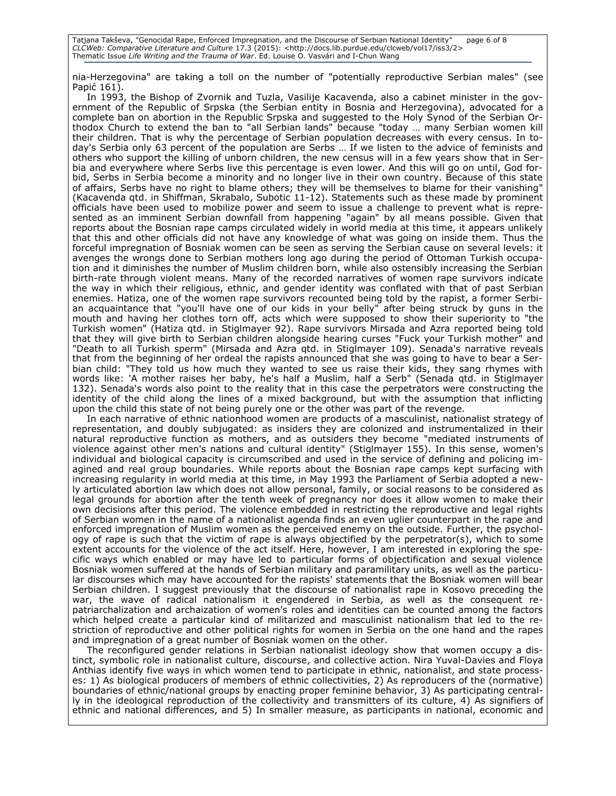Tatjana Takševa, "Genocidal Rape, Enforced Impregnation, and the Discourse of Serbian National Identity" page 6 of 8 *CLCWeb: Comparative Literature and Culture* 17.3 (2015): <http://docs.lib.purdue.edu/clcweb/vol17/iss3/2> Thematic Issue *Life Writing and the Trauma of War*. Ed. Louise O. Vasvári and I-Chun Wang

nia-Herzegovina" are taking a toll on the number of "potentially reproductive Serbian males" (see Papić 161).

In 1993, the Bishop of Zvornik and Tuzla, Vasilije Kacavenda, also a cabinet minister in the government of the Republic of Srpska (the Serbian entity in Bosnia and Herzegovina), advocated for a complete ban on abortion in the Republic Srpska and suggested to the Holy Synod of the Serbian Orthodox Church to extend the ban to "all Serbian lands" because "today … many Serbian women kill their children. That is why the percentage of Serbian population decreases with every census. In today's Serbia only 63 percent of the population are Serbs … If we listen to the advice of feminists and others who support the killing of unborn children, the new census will in a few years show that in Serbia and everywhere where Serbs live this percentage is even lower. And this will go on until, God forbid, Serbs in Serbia become a minority and no longer live in their own country. Because of this state of affairs, Serbs have no right to blame others; they will be themselves to blame for their vanishing" (Kacavenda qtd. in Shiffman, Skrabalo, Subotic 11-12). Statements such as these made by prominent officials have been used to mobilize power and seem to issue a challenge to prevent what is represented as an imminent Serbian downfall from happening "again" by all means possible. Given that reports about the Bosnian rape camps circulated widely in world media at this time, it appears unlikely that this and other officials did not have any knowledge of what was going on inside them. Thus the forceful impregnation of Bosniak women can be seen as serving the Serbian cause on several levels: it avenges the wrongs done to Serbian mothers long ago during the period of Ottoman Turkish occupation and it diminishes the number of Muslim children born, while also ostensibly increasing the Serbian birth-rate through violent means. Many of the recorded narratives of women rape survivors indicate the way in which their religious, ethnic, and gender identity was conflated with that of past Serbian enemies. Hatiza, one of the women rape survivors recounted being told by the rapist, a former Serbian acquaintance that "you'll have one of our kids in your belly" after being struck by guns in the mouth and having her clothes torn off, acts which were supposed to show their superiority to "the Turkish women" (Hatiza qtd. in Stiglmayer 92). Rape survivors Mirsada and Azra reported being told that they will give birth to Serbian children alongside hearing curses "Fuck your Turkish mother" and "Death to all Turkish sperm" (Mirsada and Azra qtd. in Stiglmayer 109). Senada's narrative reveals that from the beginning of her ordeal the rapists announced that she was going to have to bear a Serbian child: "They told us how much they wanted to see us raise their kids, they sang rhymes with words like: 'A mother raises her baby, he's half a Muslim, half a Serb" (Senada qtd. in Stiglmayer 132). Senada's words also point to the reality that in this case the perpetrators were constructing the identity of the child along the lines of a mixed background, but with the assumption that inflicting upon the child this state of not being purely one or the other was part of the revenge.

In each narrative of ethnic nationhood women are products of a masculinist, nationalist strategy of representation, and doubly subjugated: as insiders they are colonized and instrumentalized in their natural reproductive function as mothers, and as outsiders they become "mediated instruments of violence against other men's nations and cultural identity" (Stiglmayer 155). In this sense, women's individual and biological capacity is circumscribed and used in the service of defining and policing imagined and real group boundaries. While reports about the Bosnian rape camps kept surfacing with increasing regularity in world media at this time, in May 1993 the Parliament of Serbia adopted a newly articulated abortion law which does not allow personal, family, or social reasons to be considered as legal grounds for abortion after the tenth week of pregnancy nor does it allow women to make their own decisions after this period. The violence embedded in restricting the reproductive and legal rights of Serbian women in the name of a nationalist agenda finds an even uglier counterpart in the rape and enforced impregnation of Muslim women as the perceived enemy on the outside. Further, the psychology of rape is such that the victim of rape is always objectified by the perpetrator(s), which to some extent accounts for the violence of the act itself. Here, however, I am interested in exploring the specific ways which enabled or may have led to particular forms of objectification and sexual violence Bosniak women suffered at the hands of Serbian military and paramilitary units, as well as the particular discourses which may have accounted for the rapists' statements that the Bosniak women will bear Serbian children. I suggest previously that the discourse of nationalist rape in Kosovo preceding the war, the wave of radical nationalism it engendered in Serbia, as well as the consequent repatriarchalization and archaization of women's roles and identities can be counted among the factors which helped create a particular kind of militarized and masculinist nationalism that led to the restriction of reproductive and other political rights for women in Serbia on the one hand and the rapes and impregnation of a great number of Bosniak women on the other.

The reconfigured gender relations in Serbian nationalist ideology show that women occupy a distinct, symbolic role in nationalist culture, discourse, and collective action. Nira Yuval-Davies and Floya Anthias identify five ways in which women tend to participate in ethnic, nationalist, and state processes: 1) As biological producers of members of ethnic collectivities, 2) As reproducers of the (normative) boundaries of ethnic/national groups by enacting proper feminine behavior, 3) As participating centrally in the ideological reproduction of the collectivity and transmitters of its culture, 4) As signifiers of ethnic and national differences, and 5) In smaller measure, as participants in national, economic and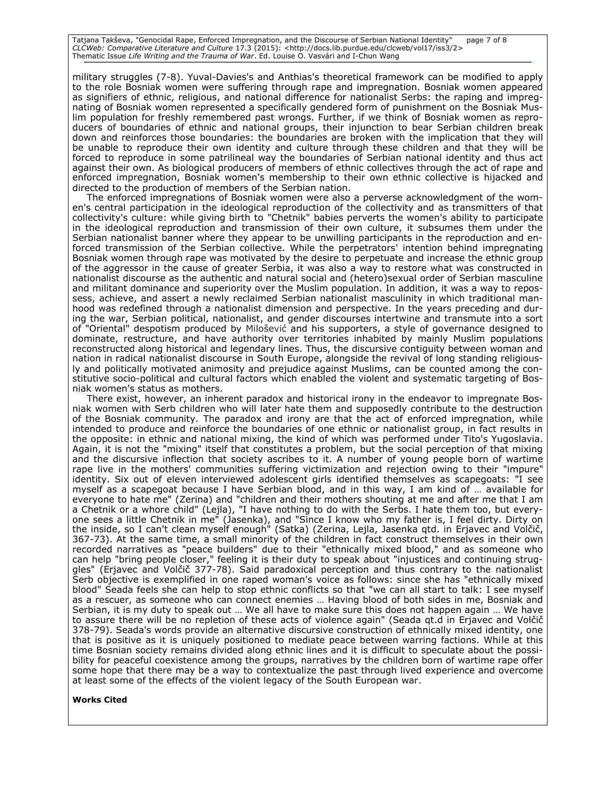Tatjana Takševa, "Genocidal Rape, Enforced Impregnation, and the Discourse of Serbian National Identity" page 7 of 8 *CLCWeb: Comparative Literature and Culture* 17.3 (2015): <http://docs.lib.purdue.edu/clcweb/vol17/iss3/2> Thematic Issue *Life Writing and the Trauma of War*. Ed. Louise O. Vasvári and I-Chun Wang

military struggles (7-8). Yuval-Davies's and Anthias's theoretical framework can be modified to apply to the role Bosniak women were suffering through rape and impregnation. Bosniak women appeared as signifiers of ethnic, religious, and national difference for nationalist Serbs: the raping and impregnating of Bosniak women represented a specifically gendered form of punishment on the Bosniak Muslim population for freshly remembered past wrongs. Further, if we think of Bosniak women as reproducers of boundaries of ethnic and national groups, their injunction to bear Serbian children break down and reinforces those boundaries: the boundaries are broken with the implication that they will be unable to reproduce their own identity and culture through these children and that they will be forced to reproduce in some patrilineal way the boundaries of Serbian national identity and thus act against their own. As biological producers of members of ethnic collectives through the act of rape and enforced impregnation, Bosniak women's membership to their own ethnic collective is hijacked and directed to the production of members of the Serbian nation.

The enforced impregnations of Bosniak women were also a perverse acknowledgment of the women's central participation in the ideological reproduction of the collectivity and as transmitters of that collectivity's culture: while giving birth to "Chetnik" babies perverts the women's ability to participate in the ideological reproduction and transmission of their own culture, it subsumes them under the Serbian nationalist banner where they appear to be unwilling participants in the reproduction and enforced transmission of the Serbian collective. While the perpetrators' intention behind impregnating Bosniak women through rape was motivated by the desire to perpetuate and increase the ethnic group of the aggressor in the cause of greater Serbia, it was also a way to restore what was constructed in nationalist discourse as the authentic and natural social and (hetero)sexual order of Serbian masculine and militant dominance and superiority over the Muslim population. In addition, it was a way to repossess, achieve, and assert a newly reclaimed Serbian nationalist masculinity in which traditional manhood was redefined through a nationalist dimension and perspective. In the years preceding and during the war, Serbian political, nationalist, and gender discourses intertwine and transmute into a sort of "Oriental" despotism produced by Milošević and his supporters, a style of governance designed to dominate, restructure, and have authority over territories inhabited by mainly Muslim populations reconstructed along historical and legendary lines. Thus, the discursive contiguity between woman and nation in radical nationalist discourse in South Europe, alongside the revival of long standing religiously and politically motivated animosity and prejudice against Muslims, can be counted among the constitutive socio-political and cultural factors which enabled the violent and systematic targeting of Bosniak women's status as mothers.

There exist, however, an inherent paradox and historical irony in the endeavor to impregnate Bosniak women with Serb children who will later hate them and supposedly contribute to the destruction of the Bosniak community. The paradox and irony are that the act of enforced impregnation, while intended to produce and reinforce the boundaries of one ethnic or nationalist group, in fact results in the opposite: in ethnic and national mixing, the kind of which was performed under Tito's Yugoslavia. Again, it is not the "mixing" itself that constitutes a problem, but the social perception of that mixing and the discursive inflection that society ascribes to it. A number of young people born of wartime rape live in the mothers' communities suffering victimization and rejection owing to their "impure" identity. Six out of eleven interviewed adolescent girls identified themselves as scapegoats: "I see myself as a scapegoat because I have Serbian blood, and in this way, I am kind of … available for everyone to hate me" (Zerina) and "children and their mothers shouting at me and after me that I am a Chetnik or a whore child" (Lejla), "I have nothing to do with the Serbs. I hate them too, but everyone sees a little Chetnik in me" (Jasenka), and "Since I know who my father is, I feel dirty. Dirty on the inside, so I can't clean myself enough" (Satka) (Zerina, Lejla, Jasenka qtd. in Erjavec and Volčič, 367-73). At the same time, a small minority of the children in fact construct themselves in their own recorded narratives as "peace builders" due to their "ethnically mixed blood," and as someone who can help "bring people closer," feeling it is their duty to speak about "injustices and continuing struggles" (Erjavec and Volčič 377-78). Said paradoxical perception and thus contrary to the nationalist Serb objective is exemplified in one raped woman's voice as follows: since she has "ethnically mixed blood" Seada feels she can help to stop ethnic conflicts so that "we can all start to talk: I see myself as a rescuer, as someone who can connect enemies … Having blood of both sides in me, Bosniak and Serbian, it is my duty to speak out … We all have to make sure this does not happen again … We have to assure there will be no repletion of these acts of violence again" (Seada qt.d in Erjavec and Volčič 378-79). Seada's words provide an alternative discursive construction of ethnically mixed identity, one that is positive as it is uniquely positioned to mediate peace between warring factions. While at this time Bosnian society remains divided along ethnic lines and it is difficult to speculate about the possibility for peaceful coexistence among the groups, narratives by the children born of wartime rape offer some hope that there may be a way to contextualize the past through lived experience and overcome at least some of the effects of the violent legacy of the South European war.

#### **Works Cited**